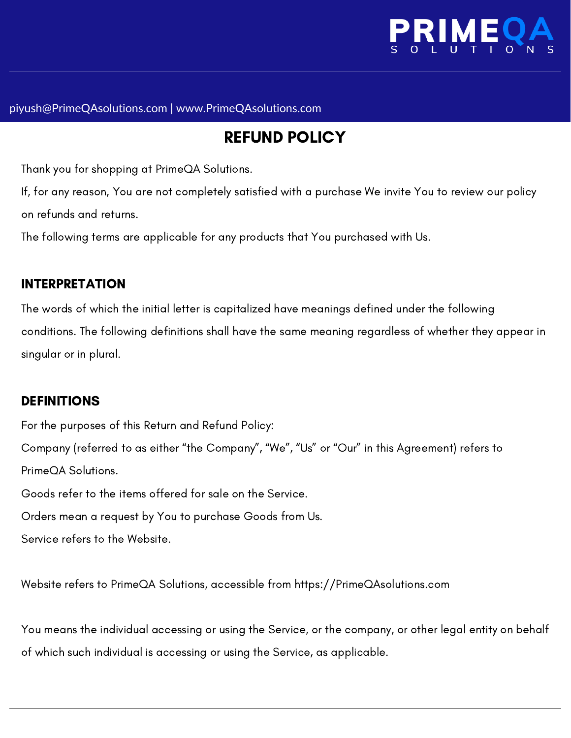

#### piyush@PrimeQAsolutions.com | www.PrimeQAsolutions.com

# REFUND POLICY

Thank you for shopping at PrimeQA Solutions.

If, for any reason, You are not completely satisfied with a purchase We invite You to review our policy on refunds and returns.

The following terms are applicable for any products that You purchased with Us.

#### INTERPRETATION

The words of which the initial letter is capitalized have meanings defined under the following conditions. The following definitions shall have the same meaning regardless of whether they appear in singular or in plural.

#### DEFINITIONS

For the purposes of this Return and Refund Policy: Company (referred to as either "the Company", "We", "Us" or "Our" in this Agreement) refers to PrimeQA Solutions. Goods refer to the items offered for sale on the Service. Orders mean a request by You to purchase Goods from Us. Service refers to the Website.

Website refers to PrimeQA Solutions, accessible from https://PrimeQAsolutions.com

You means the individual accessing or using the Service, or the company, or other legal entity on behalf of which such individual is accessing or using the Service, as applicable.